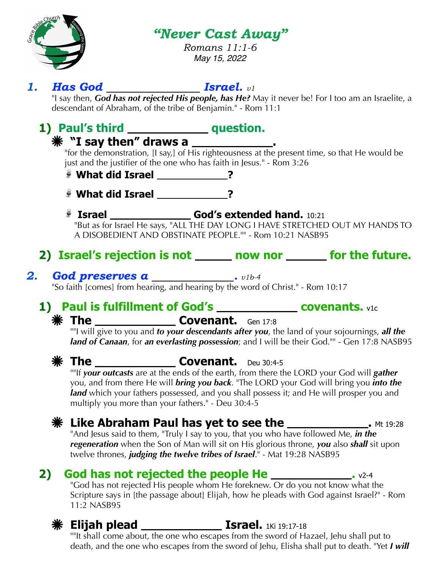

### *"Never Cast Away"*

*Romans 11:1-6 May 15, 2022*

### **1. Has God** *Israel.**v1*

"I say then, *God has not rejected His people, has He?* May it never be! For I too am an Israelite, a descendant of Abraham, of the tribe of Benjamin." - Rom 11:1

# 1) Paul's third **question.**

### **"I say then" draws a .**

"for the demonstration, [I say,] of His righteousness at the present time, so that He would be just and the justifier of the one who has faith in Jesus." - Rom 3:26

- **What did Israel ?**
- **What did Israel ?**
- **Israel \_\_\_\_\_\_\_\_\_\_\_\_\_\_\_\_\_\_\_\_\_ God's extended hand.** 10:21 "But as for Israel He says, "ALL THE DAY LONG I HAVE STRETCHED OUT MY HANDS TO A DISOBEDIENT AND OBSTINATE PEOPLE."" - Rom 10:21 NASB95
- 2) Israel's rejection is not <u>equal now nor equal</u> for the future.
- **2.** God preserves a <u>sub-4</u>  $v1b-4$

"So faith [comes] from hearing, and hearing by the word of Christ." - Rom 10:17

# **1) Paul is fulfillment of God's \_\_\_\_\_\_\_\_\_\_\_\_\_ covenants.** v1c

### **The Covenant.** Gen 17:8

""I will give to you and *to your descendants after you*, the land of your sojournings, *all the land of Canaan*, for *an everlasting possession*; and I will be their God."" - Gen 17:8 NASB95



### **The Covenant.** Deu 30:4-5

""If *your outcasts* are at the ends of the earth, from there the LORD your God will *gather* you, and from there He will *bring you back*. "The LORD your God will bring you *into the land* which your fathers possessed, and you shall possess it; and He will prosper you and multiply you more than your fathers." - Deu 30:4-5

# **XXX Like Abraham Paul has yet to see the \_\_\_\_\_\_\_\_\_\_\_\_\_\_\_\_\_\_\_\_**. Mt 19:28

"And Jesus said to them, "Truly I say to you, that you who have followed Me, *in the regeneration* when the Son of Man will sit on His glorious throne, *you* also *shall* sit upon twelve thrones, *judging the twelve tribes of Israel*." - Mat 19:28 NASB95

# **2) God has not rejected the people He 2008 Cod has not rejected the people He 2008 Code 100 Code 100 Code**

"God has not rejected His people whom He foreknew. Or do you not know what the Scripture says in [the passage about] Elijah, how he pleads with God against Israel?" - Rom 11:2 NASB95



""It shall come about, the one who escapes from the sword of Hazael, Jehu shall put to death, and the one who escapes from the sword of Jehu, Elisha shall put to death. "Yet *I will*